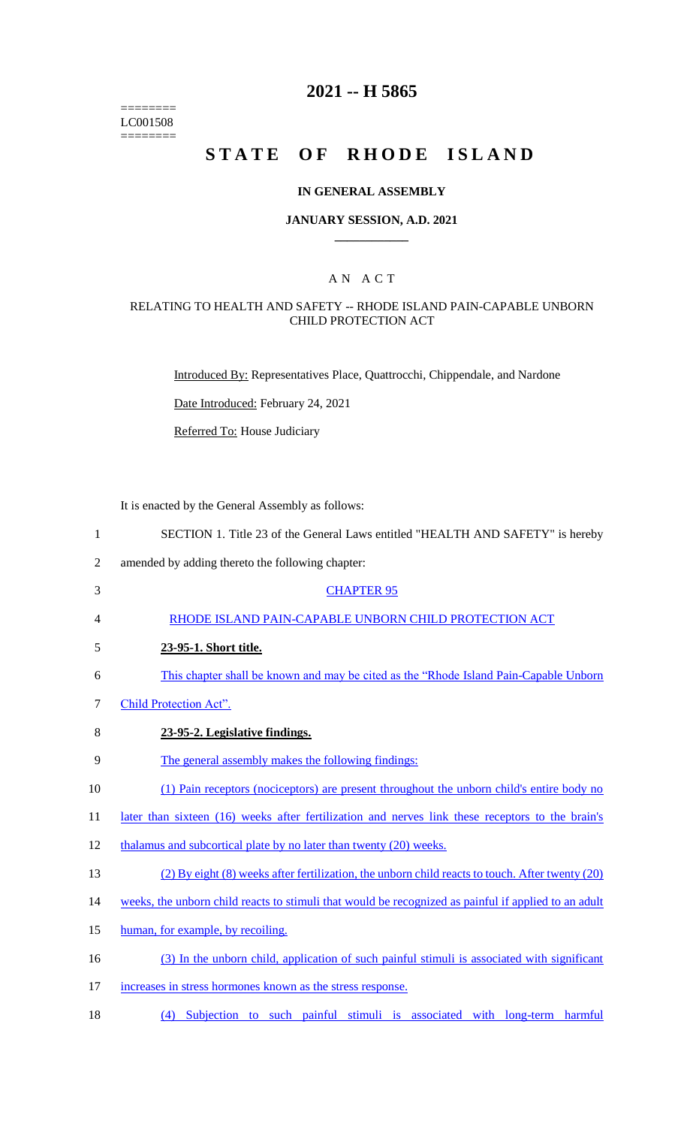======== LC001508 ========

# **2021 -- H 5865**

# **STATE OF RHODE ISLAND**

#### **IN GENERAL ASSEMBLY**

#### **JANUARY SESSION, A.D. 2021 \_\_\_\_\_\_\_\_\_\_\_\_**

## A N A C T

#### RELATING TO HEALTH AND SAFETY -- RHODE ISLAND PAIN-CAPABLE UNBORN CHILD PROTECTION ACT

Introduced By: Representatives Place, Quattrocchi, Chippendale, and Nardone

Date Introduced: February 24, 2021

Referred To: House Judiciary

It is enacted by the General Assembly as follows:

- 1 SECTION 1. Title 23 of the General Laws entitled "HEALTH AND SAFETY" is hereby 2 amended by adding thereto the following chapter: 3 CHAPTER 95 4 RHODE ISLAND PAIN-CAPABLE UNBORN CHILD PROTECTION ACT 5 **23-95-1. Short title.**  6 This chapter shall be known and may be cited as the "Rhode Island Pain-Capable Unborn 7 Child Protection Act". 8 **23-95-2. Legislative findings.**  9 The general assembly makes the following findings: 10 (1) Pain receptors (nociceptors) are present throughout the unborn child's entire body no 11 later than sixteen (16) weeks after fertilization and nerves link these receptors to the brain's 12 thalamus and subcortical plate by no later than twenty (20) weeks. 13 (2) By eight (8) weeks after fertilization, the unborn child reacts to touch. After twenty (20) 14 weeks, the unborn child reacts to stimuli that would be recognized as painful if applied to an adult 15 human, for example, by recoiling. 16 (3) In the unborn child, application of such painful stimuli is associated with significant 17 increases in stress hormones known as the stress response.
- 18 (4) Subjection to such painful stimuli is associated with long-term harmful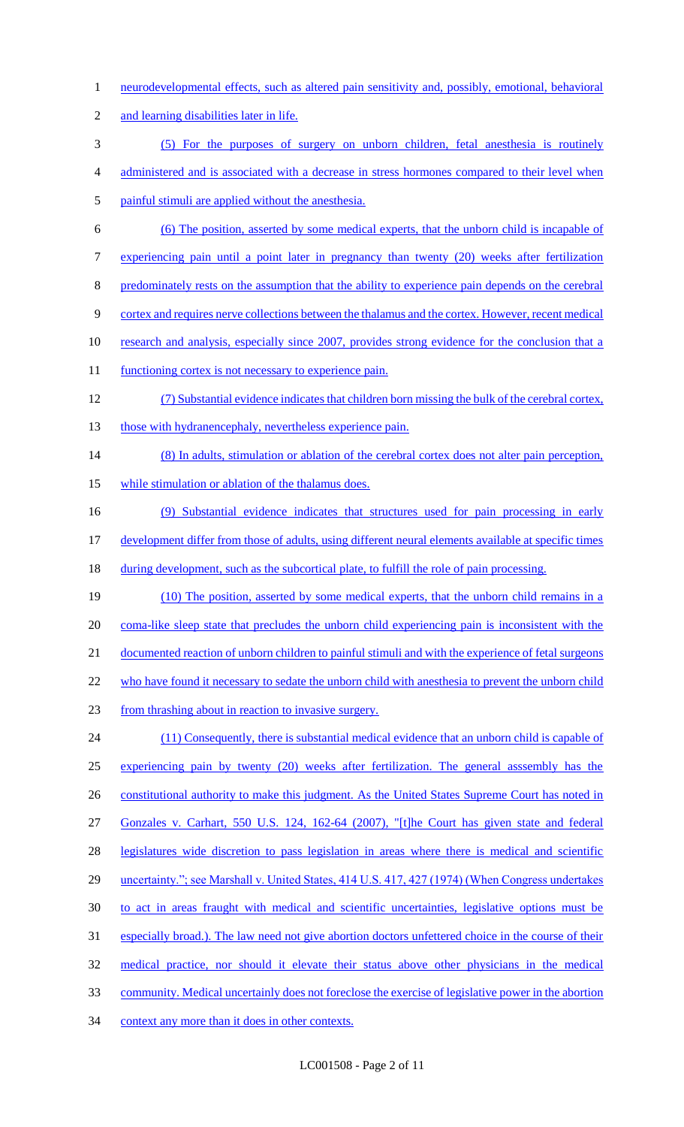- 1 neurodevelopmental effects, such as altered pain sensitivity and, possibly, emotional, behavioral
- and learning disabilities later in life.
- (5) For the purposes of surgery on unborn children, fetal anesthesia is routinely
- administered and is associated with a decrease in stress hormones compared to their level when
- painful stimuli are applied without the anesthesia.
- (6) The position, asserted by some medical experts, that the unborn child is incapable of
- experiencing pain until a point later in pregnancy than twenty (20) weeks after fertilization
- 8 predominately rests on the assumption that the ability to experience pain depends on the cerebral
- cortex and requires nerve collections between the thalamus and the cortex. However, recent medical
- 10 research and analysis, especially since 2007, provides strong evidence for the conclusion that a
- 11 functioning cortex is not necessary to experience pain.
- (7) Substantial evidence indicates that children born missing the bulk of the cerebral cortex, 13 those with hydranencephaly, nevertheless experience pain.
- (8) In adults, stimulation or ablation of the cerebral cortex does not alter pain perception, 15 while stimulation or ablation of the thalamus does.
- (9) Substantial evidence indicates that structures used for pain processing in early development differ from those of adults, using different neural elements available at specific times
- 18 during development, such as the subcortical plate, to fulfill the role of pain processing.
- (10) The position, asserted by some medical experts, that the unborn child remains in a 20 coma-like sleep state that precludes the unborn child experiencing pain is inconsistent with the documented reaction of unborn children to painful stimuli and with the experience of fetal surgeons 22 who have found it necessary to sedate the unborn child with anesthesia to prevent the unborn child from thrashing about in reaction to invasive surgery. (11) Consequently, there is substantial medical evidence that an unborn child is capable of
- experiencing pain by twenty (20) weeks after fertilization. The general asssembly has the 26 constitutional authority to make this judgment. As the United States Supreme Court has noted in
- Gonzales v. Carhart, 550 U.S. 124, 162-64 (2007), "[t]he Court has given state and federal
- legislatures wide discretion to pass legislation in areas where there is medical and scientific
- 29 uncertainty."; see Marshall v. United States, 414 U.S. 417, 427 (1974) (When Congress undertakes
- to act in areas fraught with medical and scientific uncertainties, legislative options must be
- especially broad.). The law need not give abortion doctors unfettered choice in the course of their
- medical practice, nor should it elevate their status above other physicians in the medical
- community. Medical uncertainly does not foreclose the exercise of legislative power in the abortion
- 34 context any more than it does in other contexts.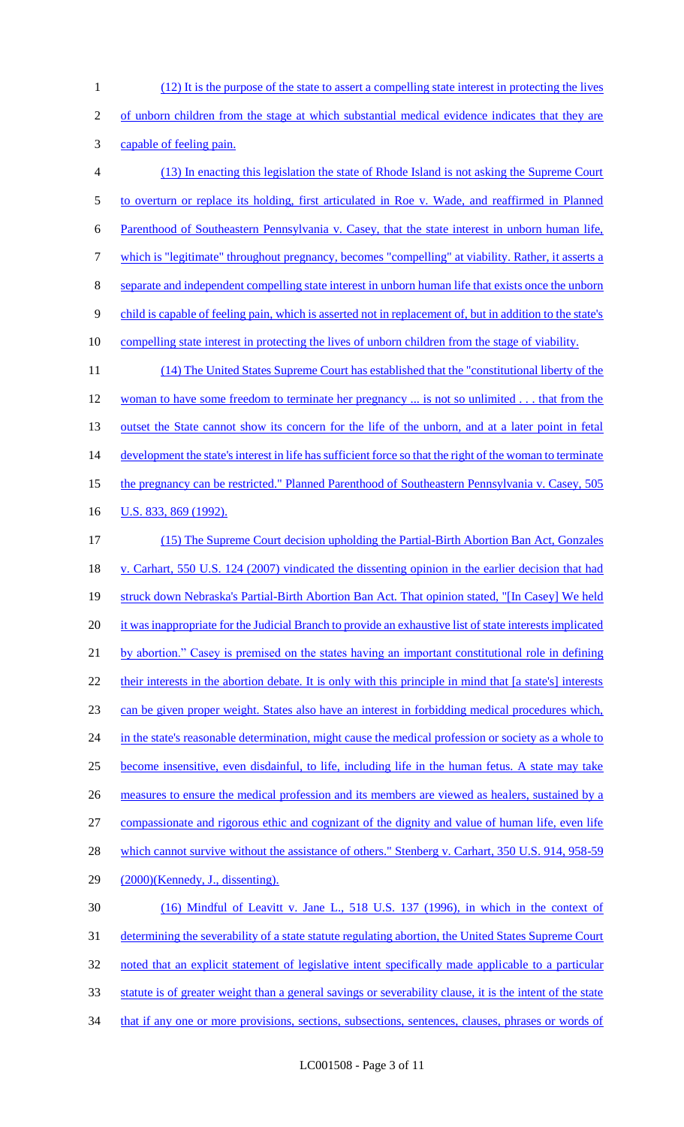(12) It is the purpose of the state to assert a compelling state interest in protecting the lives of unborn children from the stage at which substantial medical evidence indicates that they are capable of feeling pain. (13) In enacting this legislation the state of Rhode Island is not asking the Supreme Court to overturn or replace its holding, first articulated in Roe v. Wade, and reaffirmed in Planned Parenthood of Southeastern Pennsylvania v. Casey, that the state interest in unborn human life, which is "legitimate" throughout pregnancy, becomes "compelling" at viability. Rather, it asserts a separate and independent compelling state interest in unborn human life that exists once the unborn 9 child is capable of feeling pain, which is asserted not in replacement of, but in addition to the state's compelling state interest in protecting the lives of unborn children from the stage of viability. (14) The United States Supreme Court has established that the "constitutional liberty of the 12 woman to have some freedom to terminate her pregnancy ... is not so unlimited . . . that from the 13 outset the State cannot show its concern for the life of the unborn, and at a later point in fetal 14 development the state's interest in life has sufficient force so that the right of the woman to terminate

the pregnancy can be restricted." Planned Parenthood of Southeastern Pennsylvania v. Casey, 505

16 U.S. 833, 869 (1992).

 (15) The Supreme Court decision upholding the Partial-Birth Abortion Ban Act, Gonzales v. Carhart, 550 U.S. 124 (2007) vindicated the dissenting opinion in the earlier decision that had 19 struck down Nebraska's Partial-Birth Abortion Ban Act. That opinion stated, "[In Casey] We held 20 it was inappropriate for the Judicial Branch to provide an exhaustive list of state interests implicated by abortion." Casey is premised on the states having an important constitutional role in defining 22 their interests in the abortion debate. It is only with this principle in mind that [a state's] interests can be given proper weight. States also have an interest in forbidding medical procedures which, 24 in the state's reasonable determination, might cause the medical profession or society as a whole to become insensitive, even disdainful, to life, including life in the human fetus. A state may take 26 measures to ensure the medical profession and its members are viewed as healers, sustained by a compassionate and rigorous ethic and cognizant of the dignity and value of human life, even life 28 which cannot survive without the assistance of others." Stenberg v. Carhart, 350 U.S. 914, 958-59 (2000)(Kennedy, J., dissenting). (16) Mindful of Leavitt v. Jane L., 518 U.S. 137 (1996), in which in the context of determining the severability of a state statute regulating abortion, the United States Supreme Court noted that an explicit statement of legislative intent specifically made applicable to a particular statute is of greater weight than a general savings or severability clause, it is the intent of the state

34 that if any one or more provisions, sections, subsections, sentences, clauses, phrases or words of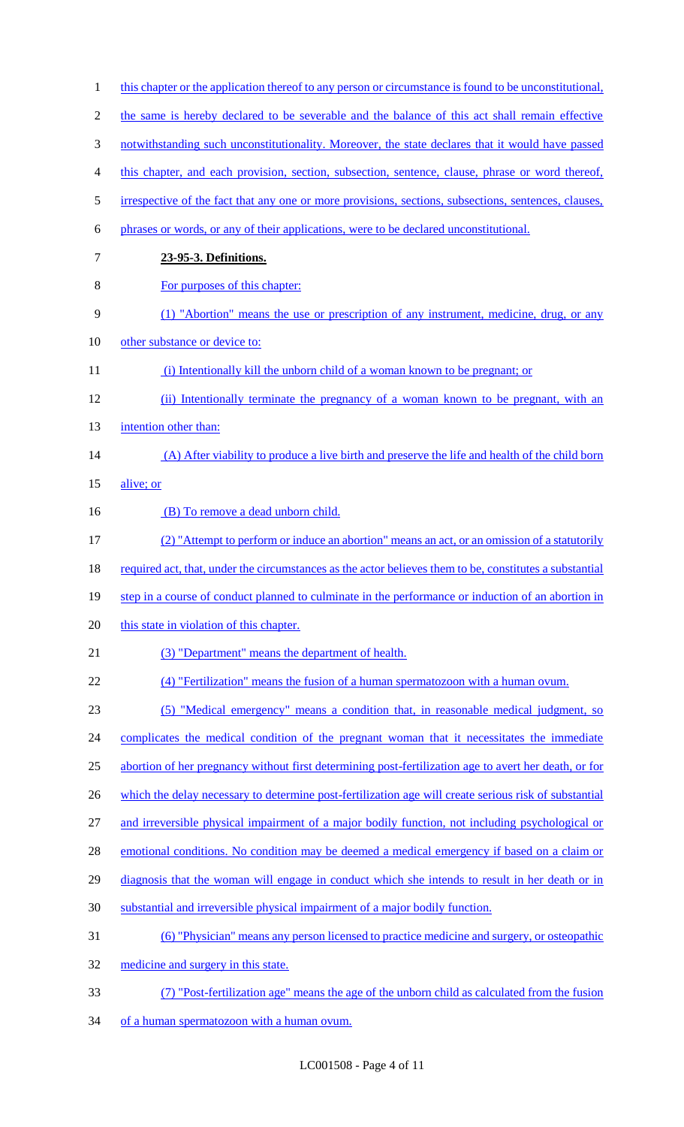| $\mathbf{1}$   | this chapter or the application thereof to any person or circumstance is found to be unconstitutional.  |
|----------------|---------------------------------------------------------------------------------------------------------|
| $\overline{2}$ | the same is hereby declared to be severable and the balance of this act shall remain effective          |
| 3              | notwithstanding such unconstitutionality. Moreover, the state declares that it would have passed        |
| 4              | this chapter, and each provision, section, subsection, sentence, clause, phrase or word thereof,        |
| 5              | irrespective of the fact that any one or more provisions, sections, subsections, sentences, clauses,    |
| 6              | phrases or words, or any of their applications, were to be declared unconstitutional.                   |
| 7              | 23-95-3. Definitions.                                                                                   |
| 8              | For purposes of this chapter:                                                                           |
| 9              | (1) "Abortion" means the use or prescription of any instrument, medicine, drug, or any                  |
| 10             | other substance or device to:                                                                           |
| 11             | (i) Intentionally kill the unborn child of a woman known to be pregnant; or                             |
| 12             | (ii) Intentionally terminate the pregnancy of a woman known to be pregnant, with an                     |
| 13             | intention other than:                                                                                   |
| 14             | (A) After viability to produce a live birth and preserve the life and health of the child born          |
| 15             | alive; or                                                                                               |
| 16             | (B) To remove a dead unborn child.                                                                      |
| 17             | (2) "Attempt to perform or induce an abortion" means an act, or an omission of a statutorily            |
| 18             | required act, that, under the circumstances as the actor believes them to be, constitutes a substantial |
| 19             | step in a course of conduct planned to culminate in the performance or induction of an abortion in      |
| 20             | this state in violation of this chapter.                                                                |
| 21             | (3) "Department" means the department of health.                                                        |
| 22             | (4) "Fertilization" means the fusion of a human spermatozoon with a human ovum.                         |
| 23             | (5) "Medical emergency" means a condition that, in reasonable medical judgment, so                      |
| 24             | complicates the medical condition of the pregnant woman that it necessitates the immediate              |
| 25             | abortion of her pregnancy without first determining post-fertilization age to avert her death, or for   |
| 26             | which the delay necessary to determine post-fertilization age will create serious risk of substantial   |
| 27             | and irreversible physical impairment of a major bodily function, not including psychological or         |
| 28             | emotional conditions. No condition may be deemed a medical emergency if based on a claim or             |
| 29             | diagnosis that the woman will engage in conduct which she intends to result in her death or in          |
| 30             | substantial and irreversible physical impairment of a major bodily function.                            |
| 31             | <u>(6) "Physician" means any person licensed to practice medicine and surgery, or osteopathic</u>       |
| 32             | medicine and surgery in this state.                                                                     |
| 33             | (7) "Post-fertilization age" means the age of the unborn child as calculated from the fusion            |
| 34             | of a human spermatozoon with a human ovum.                                                              |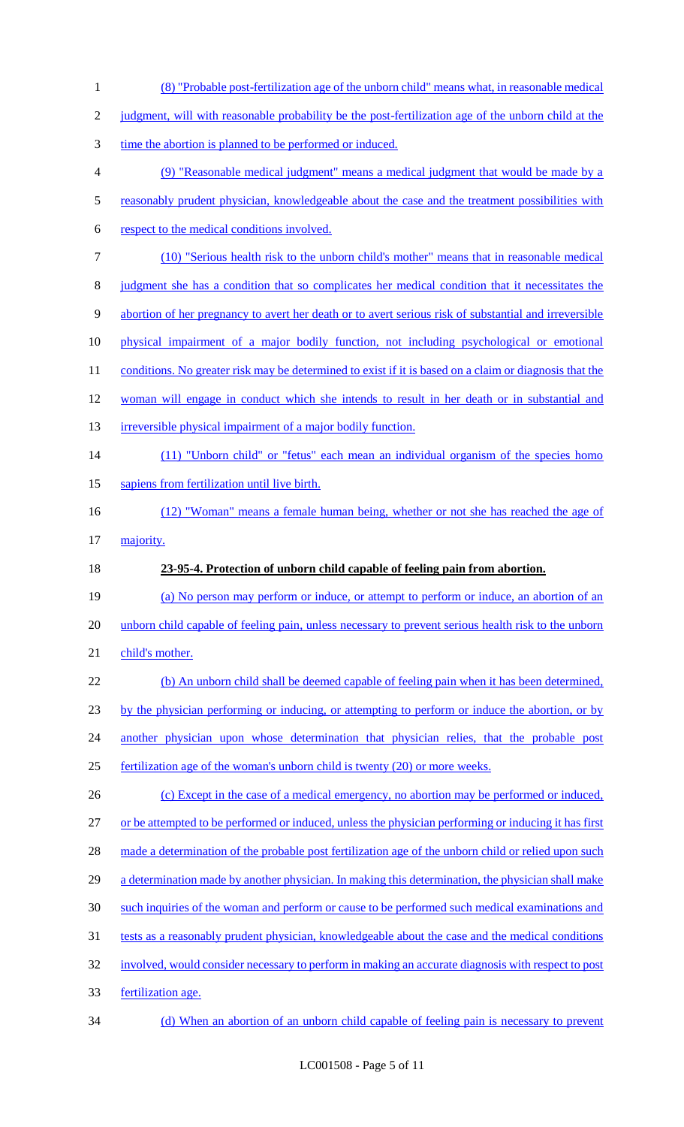| $\mathbf{1}$     | (8) "Probable post-fertilization age of the unborn child" means what, in reasonable medical            |
|------------------|--------------------------------------------------------------------------------------------------------|
| $\overline{2}$   | judgment, will with reasonable probability be the post-fertilization age of the unborn child at the    |
| 3                | time the abortion is planned to be performed or induced.                                               |
| $\overline{4}$   | (9) "Reasonable medical judgment" means a medical judgment that would be made by a                     |
| $\mathfrak s$    | reasonably prudent physician, knowledgeable about the case and the treatment possibilities with        |
| 6                | respect to the medical conditions involved.                                                            |
| $\boldsymbol{7}$ | (10) "Serious health risk to the unborn child's mother" means that in reasonable medical               |
| $8\,$            | judgment she has a condition that so complicates her medical condition that it necessitates the        |
| $\mathbf{9}$     | abortion of her pregnancy to avert her death or to avert serious risk of substantial and irreversible  |
| 10               | physical impairment of a major bodily function, not including psychological or emotional               |
| 11               | conditions. No greater risk may be determined to exist if it is based on a claim or diagnosis that the |
| 12               | woman will engage in conduct which she intends to result in her death or in substantial and            |
| 13               | irreversible physical impairment of a major bodily function.                                           |
| 14               | (11) "Unborn child" or "fetus" each mean an individual organism of the species homo                    |
| 15               | sapiens from fertilization until live birth.                                                           |
| 16               | (12) "Woman" means a female human being, whether or not she has reached the age of                     |
| 17               | majority.                                                                                              |
| 18               | 23-95-4. Protection of unborn child capable of feeling pain from abortion.                             |
| 19               | (a) No person may perform or induce, or attempt to perform or induce, an abortion of an                |
| 20               | unborn child capable of feeling pain, unless necessary to prevent serious health risk to the unborn    |
| 21               | child's mother.                                                                                        |
| 22               | (b) An unborn child shall be deemed capable of feeling pain when it has been determined,               |
| 23               | by the physician performing or inducing, or attempting to perform or induce the abortion, or by        |
| 24               | another physician upon whose determination that physician relies, that the probable post               |
| 25               | fertilization age of the woman's unborn child is twenty (20) or more weeks.                            |
| 26               | (c) Except in the case of a medical emergency, no abortion may be performed or induced,                |
| 27               | or be attempted to be performed or induced, unless the physician performing or inducing it has first   |
| 28               | made a determination of the probable post fertilization age of the unborn child or relied upon such    |
| 29               | a determination made by another physician. In making this determination, the physician shall make      |
| 30               | such inquiries of the woman and perform or cause to be performed such medical examinations and         |
| 31               | tests as a reasonably prudent physician, knowledgeable about the case and the medical conditions       |
| 32               | involved, would consider necessary to perform in making an accurate diagnosis with respect to post     |
|                  |                                                                                                        |
| 33               | fertilization age.                                                                                     |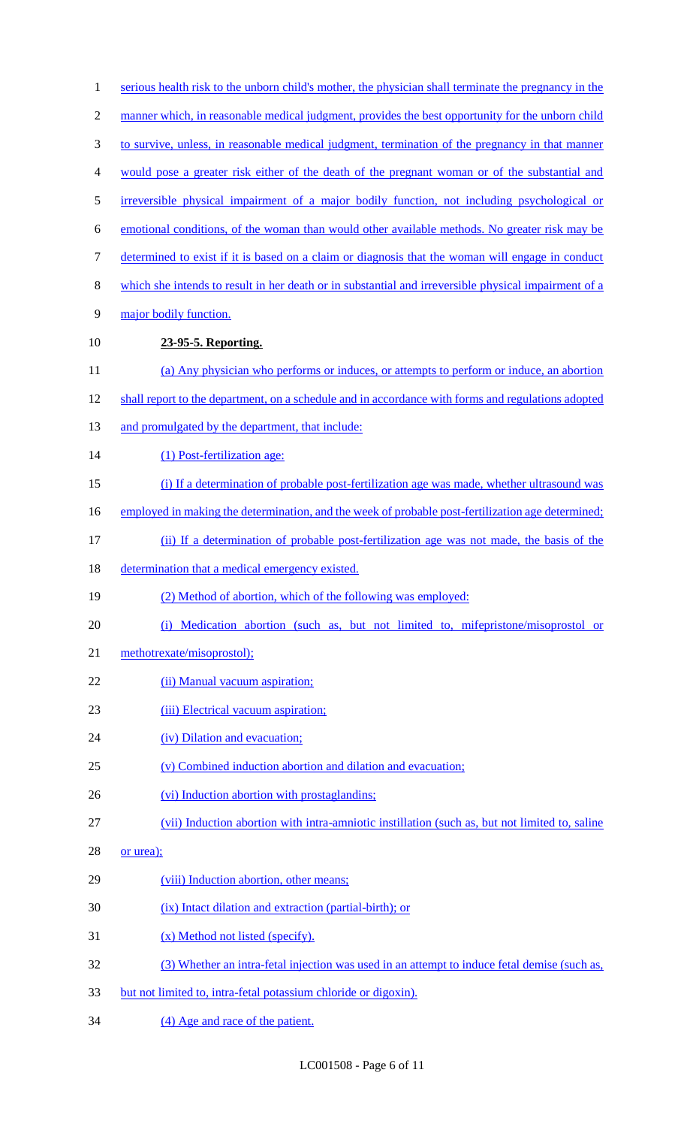| $\mathbf{1}$             | serious health risk to the unborn child's mother, the physician shall terminate the pregnancy in the |
|--------------------------|------------------------------------------------------------------------------------------------------|
| $\overline{c}$           | manner which, in reasonable medical judgment, provides the best opportunity for the unborn child     |
| $\mathfrak{Z}$           | to survive, unless, in reasonable medical judgment, termination of the pregnancy in that manner      |
| $\overline{\mathcal{A}}$ | would pose a greater risk either of the death of the pregnant woman or of the substantial and        |
| 5                        | irreversible physical impairment of a major bodily function, not including psychological or          |
| 6                        | emotional conditions, of the woman than would other available methods. No greater risk may be        |
| $\boldsymbol{7}$         | determined to exist if it is based on a claim or diagnosis that the woman will engage in conduct     |
| $8\,$                    | which she intends to result in her death or in substantial and irreversible physical impairment of a |
| $\mathbf{9}$             | major bodily function.                                                                               |
| 10                       | 23-95-5. Reporting.                                                                                  |
| 11                       | (a) Any physician who performs or induces, or attempts to perform or induce, an abortion             |
| 12                       | shall report to the department, on a schedule and in accordance with forms and regulations adopted   |
| 13                       | and promulgated by the department, that include:                                                     |
| 14                       | (1) Post-fertilization age:                                                                          |
| 15                       | (i) If a determination of probable post-fertilization age was made, whether ultrasound was           |
| 16                       | employed in making the determination, and the week of probable post-fertilization age determined;    |
| 17                       | (ii) If a determination of probable post-fertilization age was not made, the basis of the            |
| 18                       | determination that a medical emergency existed.                                                      |
| 19                       | (2) Method of abortion, which of the following was employed:                                         |
| 20                       | (i) Medication abortion (such as, but not limited to, mifepristone/misoprostol or                    |
| 21                       | methotrexate/misoprostol);                                                                           |
| 22                       | (ii) Manual vacuum aspiration;                                                                       |
| 23                       | (iii) Electrical vacuum aspiration;                                                                  |
| 24                       | (iv) Dilation and evacuation;                                                                        |
| 25                       | (v) Combined induction abortion and dilation and evacuation;                                         |
| 26                       | (vi) Induction abortion with prostaglandins;                                                         |
| 27                       | (vii) Induction abortion with intra-amniotic instillation (such as, but not limited to, saline       |
| 28                       | or urea);                                                                                            |
| 29                       | (viii) Induction abortion, other means;                                                              |
| 30                       | (ix) Intact dilation and extraction (partial-birth); or                                              |
| 31                       | (x) Method not listed (specify).                                                                     |
| 32                       | (3) Whether an intra-fetal injection was used in an attempt to induce fetal demise (such as,         |
| 33                       | but not limited to, intra-fetal potassium chloride or digoxin).                                      |
| 34                       | (4) Age and race of the patient.                                                                     |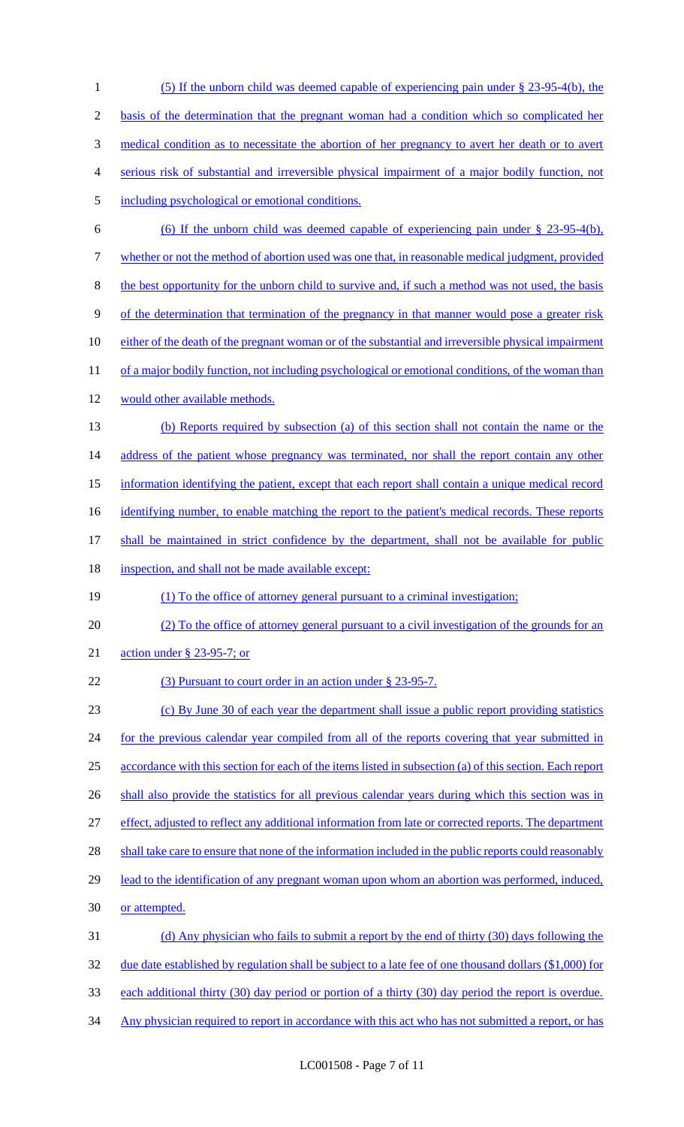(5) If the unborn child was deemed capable of experiencing pain under § 23-95-4(b), the basis of the determination that the pregnant woman had a condition which so complicated her medical condition as to necessitate the abortion of her pregnancy to avert her death or to avert serious risk of substantial and irreversible physical impairment of a major bodily function, not including psychological or emotional conditions. (6) If the unborn child was deemed capable of experiencing pain under § 23-95-4(b), whether or not the method of abortion used was one that, in reasonable medical judgment, provided the best opportunity for the unborn child to survive and, if such a method was not used, the basis of the determination that termination of the pregnancy in that manner would pose a greater risk 10 either of the death of the pregnant woman or of the substantial and irreversible physical impairment 11 of a major bodily function, not including psychological or emotional conditions, of the woman than would other available methods. (b) Reports required by subsection (a) of this section shall not contain the name or the 14 address of the patient whose pregnancy was terminated, nor shall the report contain any other information identifying the patient, except that each report shall contain a unique medical record 16 identifying number, to enable matching the report to the patient's medical records. These reports 17 shall be maintained in strict confidence by the department, shall not be available for public 18 inspection, and shall not be made available except: (1) To the office of attorney general pursuant to a criminal investigation; (2) To the office of attorney general pursuant to a civil investigation of the grounds for an action under § 23-95-7; or 22 (3) Pursuant to court order in an action under § 23-95-7. (c) By June 30 of each year the department shall issue a public report providing statistics 24 for the previous calendar year compiled from all of the reports covering that year submitted in accordance with this section for each of the items listed in subsection (a) of this section. Each report 26 shall also provide the statistics for all previous calendar years during which this section was in effect, adjusted to reflect any additional information from late or corrected reports. The department 28 shall take care to ensure that none of the information included in the public reports could reasonably 29 lead to the identification of any pregnant woman upon whom an abortion was performed, induced, or attempted. (d) Any physician who fails to submit a report by the end of thirty (30) days following the 32 due date established by regulation shall be subject to a late fee of one thousand dollars (\$1,000) for each additional thirty (30) day period or portion of a thirty (30) day period the report is overdue. 34 Any physician required to report in accordance with this act who has not submitted a report, or has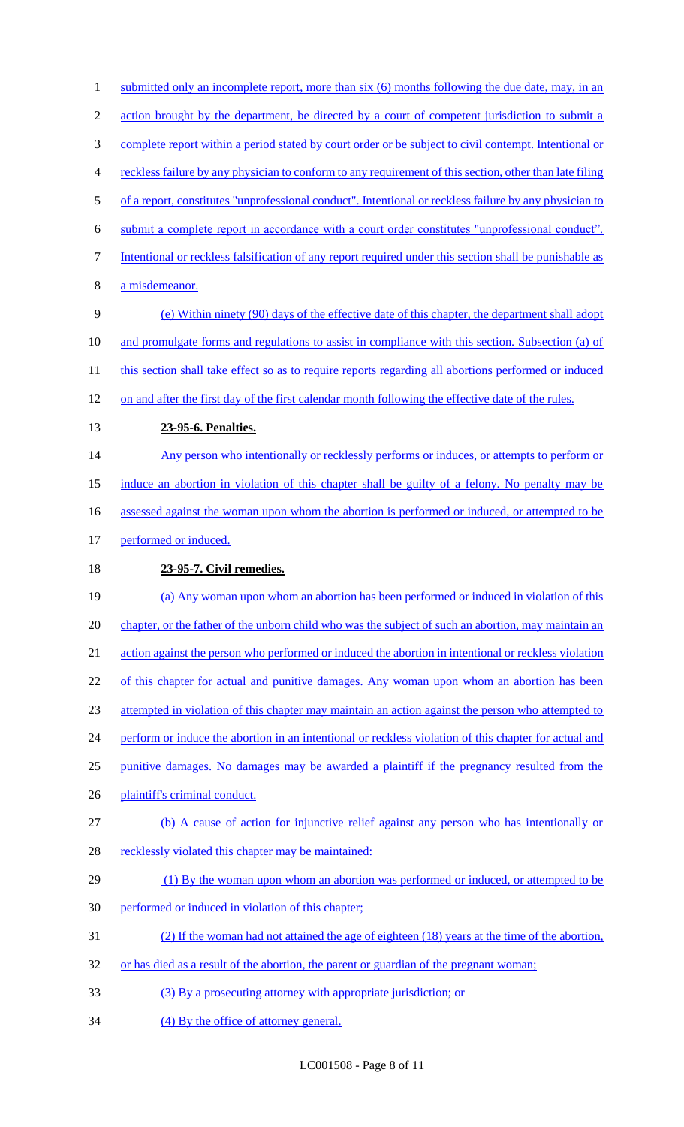1 submitted only an incomplete report, more than six (6) months following the due date, may, in an 2 action brought by the department, be directed by a court of competent jurisdiction to submit a complete report within a period stated by court order or be subject to civil contempt. Intentional or reckless failure by any physician to conform to any requirement of this section, other than late filing of a report, constitutes "unprofessional conduct". Intentional or reckless failure by any physician to submit a complete report in accordance with a court order constitutes "unprofessional conduct". Intentional or reckless falsification of any report required under this section shall be punishable as a misdemeanor. (e) Within ninety (90) days of the effective date of this chapter, the department shall adopt and promulgate forms and regulations to assist in compliance with this section. Subsection (a) of 11 this section shall take effect so as to require reports regarding all abortions performed or induced on and after the first day of the first calendar month following the effective date of the rules. **23-95-6. Penalties.**  14 Any person who intentionally or recklessly performs or induces, or attempts to perform or induce an abortion in violation of this chapter shall be guilty of a felony. No penalty may be 16 assessed against the woman upon whom the abortion is performed or induced, or attempted to be 17 performed or induced. **23-95-7. Civil remedies.**  (a) Any woman upon whom an abortion has been performed or induced in violation of this chapter, or the father of the unborn child who was the subject of such an abortion, may maintain an action against the person who performed or induced the abortion in intentional or reckless violation 22 of this chapter for actual and punitive damages. Any woman upon whom an abortion has been attempted in violation of this chapter may maintain an action against the person who attempted to 24 perform or induce the abortion in an intentional or reckless violation of this chapter for actual and punitive damages. No damages may be awarded a plaintiff if the pregnancy resulted from the plaintiff's criminal conduct. (b) A cause of action for injunctive relief against any person who has intentionally or 28 recklessly violated this chapter may be maintained: 29 (1) By the woman upon whom an abortion was performed or induced, or attempted to be performed or induced in violation of this chapter; (2) If the woman had not attained the age of eighteen (18) years at the time of the abortion, 32 or has died as a result of the abortion, the parent or guardian of the pregnant woman; (3) By a prosecuting attorney with appropriate jurisdiction; or 34 (4) By the office of attorney general.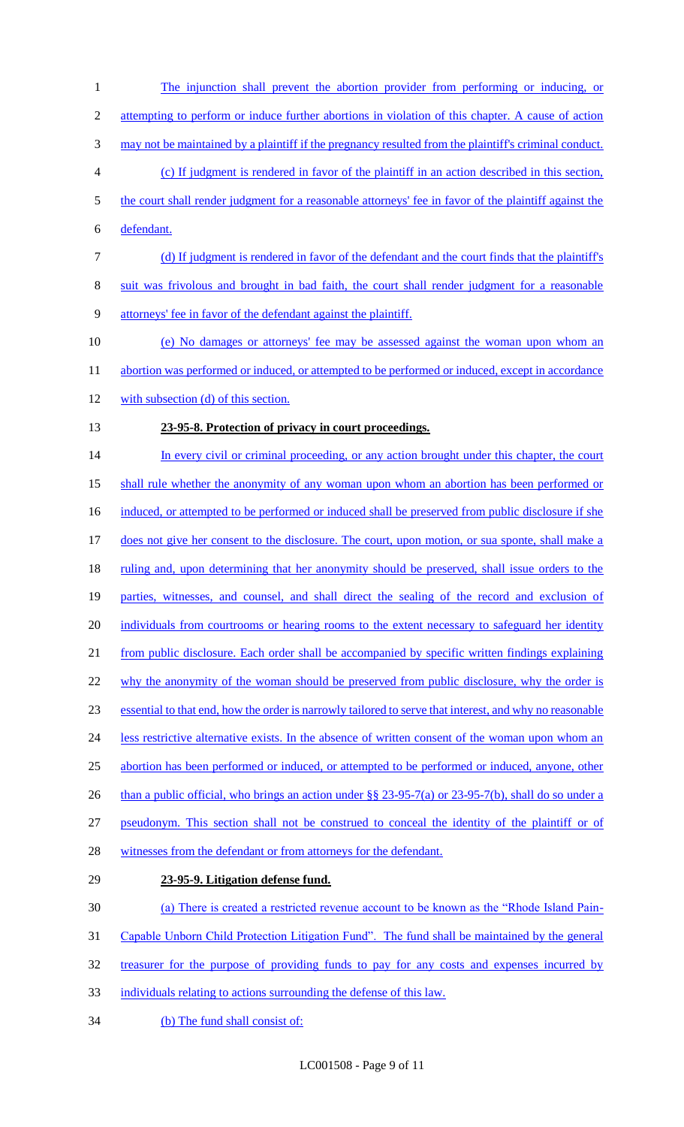The injunction shall prevent the abortion provider from performing or inducing, or 2 attempting to perform or induce further abortions in violation of this chapter. A cause of action may not be maintained by a plaintiff if the pregnancy resulted from the plaintiff's criminal conduct. (c) If judgment is rendered in favor of the plaintiff in an action described in this section, the court shall render judgment for a reasonable attorneys' fee in favor of the plaintiff against the defendant. (d) If judgment is rendered in favor of the defendant and the court finds that the plaintiff's suit was frivolous and brought in bad faith, the court shall render judgment for a reasonable attorneys' fee in favor of the defendant against the plaintiff. (e) No damages or attorneys' fee may be assessed against the woman upon whom an 11 abortion was performed or induced, or attempted to be performed or induced, except in accordance with subsection (d) of this section. **23-95-8. Protection of privacy in court proceedings.**  14 In every civil or criminal proceeding, or any action brought under this chapter, the court shall rule whether the anonymity of any woman upon whom an abortion has been performed or 16 induced, or attempted to be performed or induced shall be preserved from public disclosure if she 17 does not give her consent to the disclosure. The court, upon motion, or sua sponte, shall make a 18 ruling and, upon determining that her anonymity should be preserved, shall issue orders to the parties, witnesses, and counsel, and shall direct the sealing of the record and exclusion of 20 individuals from courtrooms or hearing rooms to the extent necessary to safeguard her identity from public disclosure. Each order shall be accompanied by specific written findings explaining 22 why the anonymity of the woman should be preserved from public disclosure, why the order is essential to that end, how the order is narrowly tailored to serve that interest, and why no reasonable 24 less restrictive alternative exists. In the absence of written consent of the woman upon whom an abortion has been performed or induced, or attempted to be performed or induced, anyone, other 26 than a public official, who brings an action under §§ 23-95-7(a) or 23-95-7(b), shall do so under a pseudonym. This section shall not be construed to conceal the identity of the plaintiff or of 28 witnesses from the defendant or from attorneys for the defendant. **23-95-9. Litigation defense fund.**  (a) There is created a restricted revenue account to be known as the "Rhode Island Pain- Capable Unborn Child Protection Litigation Fund". The fund shall be maintained by the general treasurer for the purpose of providing funds to pay for any costs and expenses incurred by individuals relating to actions surrounding the defense of this law.

34 (b) The fund shall consist of: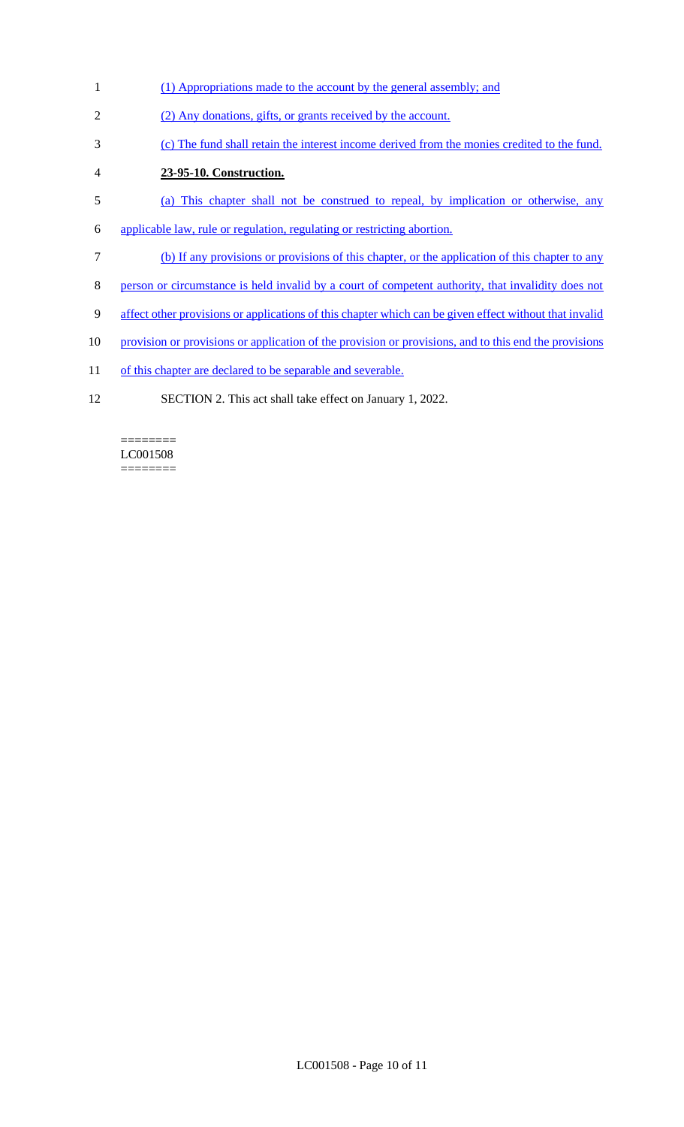- (1) Appropriations made to the account by the general assembly; and
- (2) Any donations, gifts, or grants received by the account.
- (c) The fund shall retain the interest income derived from the monies credited to the fund.
- **23-95-10. Construction.**
- (a) This chapter shall not be construed to repeal, by implication or otherwise, any
- applicable law, rule or regulation, regulating or restricting abortion.
- (b) If any provisions or provisions of this chapter, or the application of this chapter to any
- person or circumstance is held invalid by a court of competent authority, that invalidity does not
- affect other provisions or applications of this chapter which can be given effect without that invalid
- 10 provision or provisions or application of the provision or provisions, and to this end the provisions
- 11 of this chapter are declared to be separable and severable.
- SECTION 2. This act shall take effect on January 1, 2022.

======== LC001508 ========